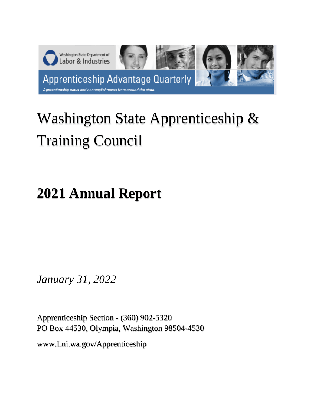

# Washington State Apprenticeship & Training Council

# **2021 Annual Report**

*January 31, 2022*

Apprenticeship Section - (360) 902-5320 PO Box 44530, Olympia, Washington 98504-4530

www.Lni.wa.gov/Apprenticeship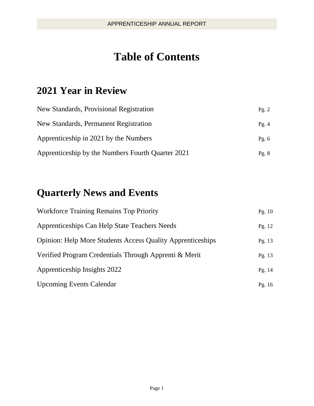# **Table of Contents**

### **2021 Year in Review**

| New Standards, Provisional Registration           | Pg. $2$ |
|---------------------------------------------------|---------|
| New Standards, Permanent Registration             | Pg. $4$ |
| Apprenticeship in 2021 by the Numbers             | Pg. $6$ |
| Apprenticeship by the Numbers Fourth Quarter 2021 | Pg. $8$ |

### **Quarterly News and Events**

| <b>Workforce Training Remains Top Priority</b>                    | Pg. $10$ |
|-------------------------------------------------------------------|----------|
| Apprenticeships Can Help State Teachers Needs                     | Pg. 12   |
| <b>Opinion: Help More Students Access Quality Apprenticeships</b> | Pg. $13$ |
| Verified Program Credentials Through Apprenti & Merit             | Pg. 13   |
| Apprenticeship Insights 2022                                      | Pg. 14   |
| <b>Upcoming Events Calendar</b>                                   | Pg. $16$ |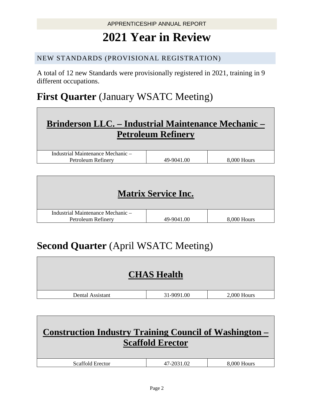# **2021 Year in Review**

#### NEW STANDARDS (PROVISIONAL REGISTRATION)

A total of 12 new Standards were provisionally registered in 2021, training in 9 different occupations.

### **First Quarter** (January WSATC Meeting)

## **Brinderson LLC. – Industrial Maintenance Mechanic – Petroleum Refinery**

| Industrial Maintenance Mechanic – |                |             |
|-----------------------------------|----------------|-------------|
| Petroleum Refinery                | .00<br>49-9041 | 8,000 Hours |

|                                                         | <b>Matrix Service Inc.</b> |             |
|---------------------------------------------------------|----------------------------|-------------|
| Industrial Maintenance Mechanic –<br>Petroleum Refinery | 49-9041.00                 | 8,000 Hours |

### **Second Quarter** (April WSATC Meeting)

|                  | <b>CHAS Health</b> |               |
|------------------|--------------------|---------------|
| Dental Assistant | 31-9091.00         | $2,000$ Hours |
|                  |                    |               |

| Construction Industry Training Council of Washington – | <b>Scaffold Erector</b> |             |
|--------------------------------------------------------|-------------------------|-------------|
| Scaffold Erector                                       | 47-2031.02              | 8,000 Hours |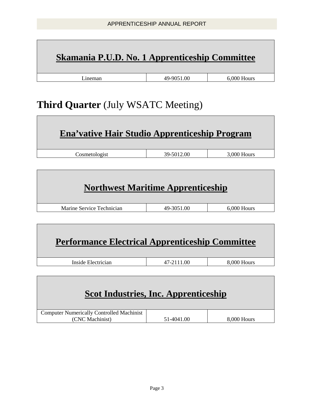### **Skamania P.U.D. No. 1 Apprenticeship Committee**

Lineman 19-9051.00 6,000 Hours

### **Third Quarter** (July WSATC Meeting)

| Ena'vative Hair Studio Apprenticeship Program |            |               |
|-----------------------------------------------|------------|---------------|
| Cosmetologist                                 | 39-5012.00 | $3,000$ Hours |

| <b>Northwest Maritime Apprenticeship</b> |            |               |
|------------------------------------------|------------|---------------|
| Marine Service Technician                | 49-3051.00 | $6,000$ Hours |

| <b>Performance Electrical Apprenticeship Committee</b> |            |             |
|--------------------------------------------------------|------------|-------------|
| Inside Electrician                                     | 47-2111.00 | 8,000 Hours |

### **Scot Industries, Inc. Apprenticeship**

| <b>Computer Numerically Controlled Machinist</b> |            |             |
|--------------------------------------------------|------------|-------------|
| (CNC Machinist)                                  | 51-4041.00 | 8,000 Hours |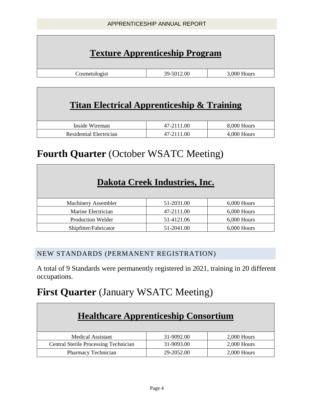### **Texture Apprenticeship Program**

Cosmetologist 39-5012.00 3,000 Hours

# **Titan Electrical Apprenticeship & Training**

| Inside Wireman          | 47-2111.00 | 8,000 Hours |
|-------------------------|------------|-------------|
| Residential Electrician | 47-2111.00 | .000 Hours  |

### **Fourth Quarter** (October WSATC Meeting)

### **Dakota Creek Industries, Inc.**

| <b>Machinery Assembler</b> | 51-2031.00 | $6,000$ Hours |
|----------------------------|------------|---------------|
| Marine Electrician         | 47-2111.00 | $6,000$ Hours |
| Production Welder          | 51-4121.06 | $6,000$ Hours |
| Shipfitter/Fabricator      | 51-2041.00 | $6.000$ Hours |

#### NEW STANDARDS (PERMANENT REGISTRATION)

A total of 9 Standards were permanently registered in 2021, training in 20 different occupations.

### **First Quarter** (January WSATC Meeting)

| <b>Healthcare Apprenticeship Consortium</b>  |            |               |  |
|----------------------------------------------|------------|---------------|--|
| Medical Assistant                            | 31-9092.00 | $2,000$ Hours |  |
| <b>Central Sterile Processing Technician</b> | 31-9093.00 | $2,000$ Hours |  |
| Pharmacy Technician                          | 29-2052.00 | $2,000$ Hours |  |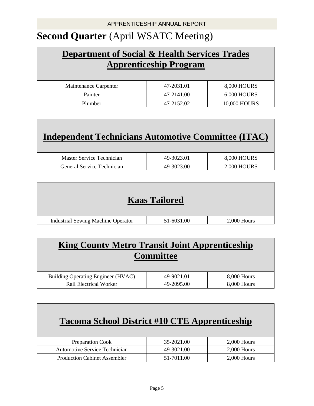### **Second Quarter** (April WSATC Meeting)

### **Department of Social & Health Services Trades Apprenticeship Program**

| Maintenance Carpenter | 47-2031.01 | 8,000 HOURS        |
|-----------------------|------------|--------------------|
| Painter               | 47-2141.00 | <b>6,000 HOURS</b> |
| Plumber               | 47-2152.02 | 10,000 HOURS       |

| Independent Technicians Automotive Committee (ITAC) |                    |
|-----------------------------------------------------|--------------------|
| 49-3023.01                                          | 8,000 HOURS        |
| 49-3023.00                                          | <b>2,000 HOURS</b> |
|                                                     |                    |

| <b>Kaas Tailored</b> |  |
|----------------------|--|
|                      |  |

| Industrial Sewing Machine Operator | 00 | 000<br>dours. |
|------------------------------------|----|---------------|
|                                    |    |               |

### **King County Metro Transit Joint Apprenticeship Committee**

| Building Operating Engineer (HVAC) | 49-9021.01 | 8,000 Hours |
|------------------------------------|------------|-------------|
| Rail Electrical Worker             | 49-2095.00 | 8,000 Hours |

### **Tacoma School District #10 CTE Apprenticeship**

| <b>Preparation Cook</b>             | 35-2021.00 | $2.000$ Hours |
|-------------------------------------|------------|---------------|
| Automotive Service Technician       | 49-3021.00 | $2.000$ Hours |
| <b>Production Cabinet Assembler</b> | 51-7011.00 | $2.000$ Hours |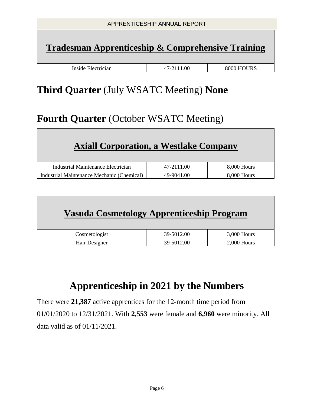| APPRENTICESHIP ANNUAL REPORT                                 |  |  |  |  |
|--------------------------------------------------------------|--|--|--|--|
| <b>Tradesman Apprenticeship &amp; Comprehensive Training</b> |  |  |  |  |
| Inside Electrician<br>8000 HOURS<br>47-2111.00               |  |  |  |  |

### **Third Quarter** (July WSATC Meeting) **None**

### **Fourth Quarter** (October WSATC Meeting)

### **Axiall Corporation, a Westlake Company**

| Industrial Maintenance Electrician         | 47-2111.00 | 8,000 Hours |
|--------------------------------------------|------------|-------------|
| Industrial Maintenance Mechanic (Chemical) | 49-9041.00 | 8.000 Hours |

| Vasuda Cosmetology Apprenticeship Program |            |               |
|-------------------------------------------|------------|---------------|
| Cosmetologist                             | 39-5012.00 | $3,000$ Hours |
| Hair Designer                             | 39-5012.00 | $2,000$ Hours |

### **Apprenticeship in 2021 by the Numbers**

There were **21,387** active apprentices for the 12-month time period from 01/01/2020 to 12/31/2021. With **2,553** were female and **6,960** were minority. All data valid as of 01/11/2021.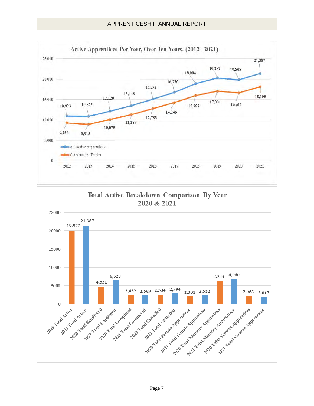

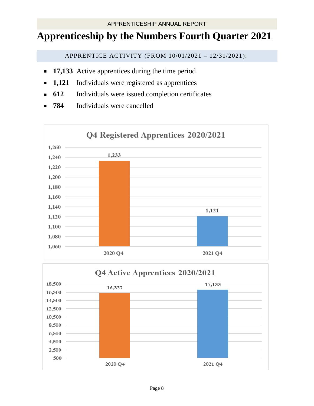### **Apprenticeship by the Numbers Fourth Quarter 2021**

APPRENTICE ACTIVITY (FROM 10/01/2021 – 12/31/2021):

- **17,133** Active apprentices during the time period
- **1,121** Individuals were registered as apprentices
- **612** Individuals were issued completion certificates
- **784** Individuals were cancelled

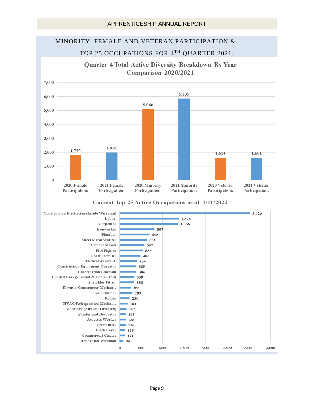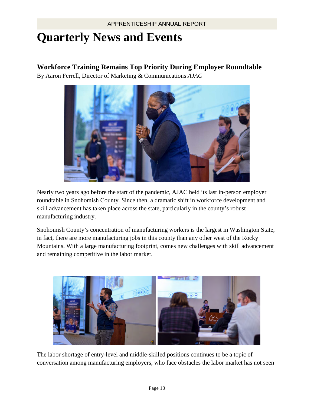# **Quarterly News and Events**

#### **Workforce Training Remains Top Priority During Employer Roundtable**

By Aaron Ferrell, Director of Marketing & Communications *AJAC*



Nearly two years ago before the start of the pandemic, AJAC held its last in-person employer roundtable in Snohomish County. Since then, a dramatic shift in workforce development and skill advancement has taken place across the state, particularly in the county's robust manufacturing industry.

Snohomish County's concentration of manufacturing workers is the largest in Washington State, in fact, there are more manufacturing jobs in this county than any other west of the Rocky Mountains. With a large manufacturing footprint, comes new challenges with skill advancement and remaining competitive in the labor market.



The labor shortage of entry-level and middle-skilled positions continues to be a topic of conversation among manufacturing employers, who face obstacles the labor market has not seen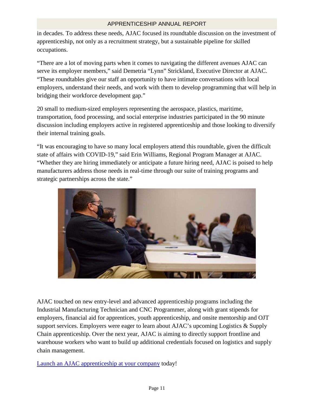in decades. To address these needs, AJAC focused its roundtable discussion on the investment of apprenticeship, not only as a recruitment strategy, but a sustainable pipeline for skilled occupations.

"There are a lot of moving parts when it comes to navigating the different avenues AJAC can serve its employer members," said Demetria "Lynn" Strickland, Executive Director at AJAC. "These roundtables give our staff an opportunity to have intimate conversations with local employers, understand their needs, and work with them to develop programming that will help in bridging their workforce development gap."

20 small to medium-sized employers representing the aerospace, plastics, maritime, transportation, food processing, and social enterprise industries participated in the 90 minute discussion including employers active in registered apprenticeship and those looking to diversify their internal training goals.

"It was encouraging to have so many local employers attend this roundtable, given the difficult state of affairs with COVID-19," said Erin Williams, Regional Program Manager at AJAC. "Whether they are hiring immediately or anticipate a future hiring need, AJAC is poised to help manufacturers address those needs in real-time through our suite of training programs and strategic partnerships across the state."



AJAC touched on new entry-level and advanced apprenticeship programs including the Industrial Manufacturing Technician and CNC Programmer, along with grant stipends for employers, financial aid for apprentices, youth apprenticeship, and onsite mentorship and OJT support services. Employers were eager to learn about AJAC's upcoming Logistics & Supply Chain apprenticeship. Over the next year, AJAC is aiming to directly support frontline and warehouse workers who want to build up additional credentials focused on logistics and supply chain management.

[Launch an AJAC apprenticeship at your company](https://www.ajactraining.org/aviation-employers/how-it-works/) today!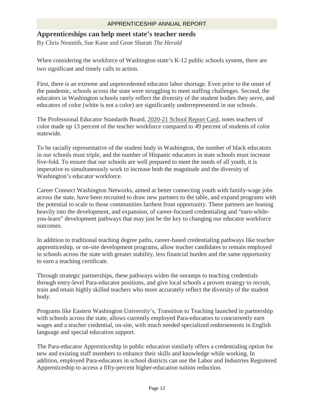#### **Apprenticeships can help meet state's teacher needs**

By Chris Nesmith, Sue Kane and Gene Sharatt *The Herald*

When considering the workforce of Washington state's K-12 public schools system, there are two significant and timely calls to action.

First, there is an extreme and unprecedented educator labor shortage. Even prior to the onset of the pandemic, schools across the state were struggling to meet staffing challenges. Second, the educators in Washington schools rarely reflect the diversity of the student bodies they serve, and educators of color (white is not a color) are significantly underrepresented in our schools.

The Professional Educator Standards Board, [2020-21 School Report Card,](https://www.pesb.wa.gov/resources-and-reports/reports/shortage-report/) notes teachers of color made up 13 percent of the teacher workforce compared to 49 percent of students of color statewide.

To be racially representative of the student body in Washington, the number of black educators in our schools must triple, and the number of Hispanic educators in state schools must increase five-fold. To ensure that our schools are well prepared to meet the needs of all youth, it is imperative to simultaneously work to increase both the magnitude and the diversity of Washington's educator workforce.

Career Connect Washington Networks, aimed at better connecting youth with family-wage jobs across the state, have been recruited to draw new partners to the table, and expand programs with the potential to scale to those communities farthest from opportunity. These partners are leaning heavily into the development, and expansion, of career-focused credentialing and "earn-whileyou-learn" development pathways that may just be the key to changing our educator workforce outcomes.

In addition to traditional teaching degree paths, career-based credentialing pathways like teacher apprenticeship, or on-site development programs, allow teacher candidates to remain employed in schools across the state with greater stability, less financial burden and the same opportunity to earn a teaching certificate.

Through strategic partnerships, these pathways widen the onramps to teaching credentials through entry-level Para-educator positions, and give local schools a proven strategy to recruit, train and retain highly skilled teachers who more accurately reflect the diversity of the student body.

Programs like Eastern Washington University's, Transition to Teaching launched in partnership with schools across the state, allows currently employed Para-educators to concurrently earn wages and a teacher credential, on-site, with much needed specialized endorsements in English language and special education support.

The Para-educator Apprenticeship in public education similarly offers a credentialing option for new and existing staff members to enhance their skills and knowledge while working. In addition, employed Para-educators in school districts can use the Labor and Industries Registered Apprenticeship to access a fifty-percent higher-education tuition reduction.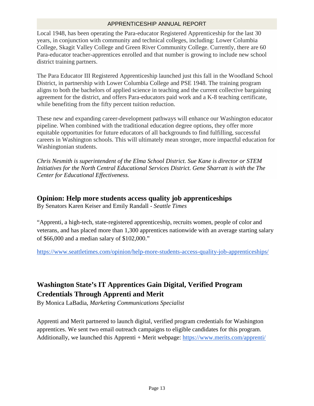Local 1948, has been operating the Para-educator Registered Apprenticeship for the last 30 years, in conjunction with community and technical colleges, including: Lower Columbia College, Skagit Valley College and Green River Community College. Currently, there are 60 Para-educator teacher-apprentices enrolled and that number is growing to include new school district training partners.

The Para Educator III Registered Apprenticeship launched just this fall in the Woodland School District, in partnership with Lower Columbia College and PSE 1948. The training program aligns to both the bachelors of applied science in teaching and the current collective bargaining agreement for the district, and offers Para-educators paid work and a K-8 teaching certificate, while benefiting from the fifty percent tuition reduction.

These new and expanding career-development pathways will enhance our Washington educator pipeline. When combined with the traditional education degree options, they offer more equitable opportunities for future educators of all backgrounds to find fulfilling, successful careers in Washington schools. This will ultimately mean stronger, more impactful education for Washingtonian students.

*Chris Nesmith is superintendent of the Elma School District. Sue Kane is director or STEM Initiatives for the North Central Educational Services District. Gene Sharratt is with the The Center for Educational Effectiveness.* 

#### **Opinion: Help more students access quality job apprenticeships**

By Senators Karen Keiser and Emily Randall - *Seattle Times*

"Apprenti, a high-tech, state-registered apprenticeship, recruits women, people of color and veterans, and has placed more than 1,300 apprentices nationwide with an average starting salary of \$66,000 and a median salary of \$102,000."

<https://www.seattletimes.com/opinion/help-more-students-access-quality-job-apprenticeships/>

### **Washington State's IT Apprentices Gain Digital, Verified Program Credentials Through Apprenti and Merit**

By Monica LaBadia, *Marketing Communications Specialist*

Apprenti and Merit partnered to launch digital, verified program credentials for Washington apprentices. We sent two email outreach campaigns to eligible candidates for this program. Additionally, we launched this Apprenti + Merit webpage:<https://www.merits.com/apprenti/>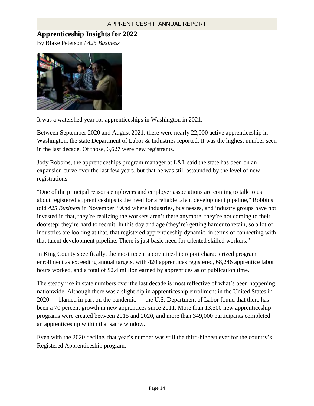#### **Apprenticeship Insights for 2022**

By Blake Peterson / *425 Business*



It was a watershed year for apprenticeships in Washington in 2021.

Between September 2020 and August 2021, there were nearly 22,000 active apprenticeship in Washington, the state Department of Labor & Industries reported. It was the highest number seen in the last decade. Of those, 6,627 were new registrants.

Jody Robbins, the apprenticeships program manager at L&I, said the state has been on an expansion curve over the last few years, but that he was still astounded by the level of new registrations.

"One of the principal reasons employers and employer associations are coming to talk to us about registered apprenticeships is the need for a reliable talent development pipeline," Robbins told *425 Business* in November. "And where industries, businesses, and industry groups have not invested in that, they're realizing the workers aren't there anymore; they're not coming to their doorstep; they're hard to recruit. In this day and age (they're) getting harder to retain, so a lot of industries are looking at that, that registered apprenticeship dynamic, in terms of connecting with that talent development pipeline. There is just basic need for talented skilled workers."

In King County specifically, the most recent apprenticeship report characterized program enrollment as exceeding annual targets, with 420 apprentices registered, 68,246 apprentice labor hours worked, and a total of \$2.4 million earned by apprentices as of publication time.

The steady rise in state numbers over the last decade is most reflective of what's been happening nationwide. Although there was a slight dip in apprenticeship enrollment in the United States in 2020 — blamed in part on the pandemic — the U.S. Department of Labor found that there has been a 70 percent growth in new apprentices since 2011. More than 13,500 new apprenticeship programs were created between 2015 and 2020, and more than 349,000 participants completed an apprenticeship within that same window.

Even with the 2020 decline, that year's number was still the third-highest ever for the country's Registered Apprenticeship program.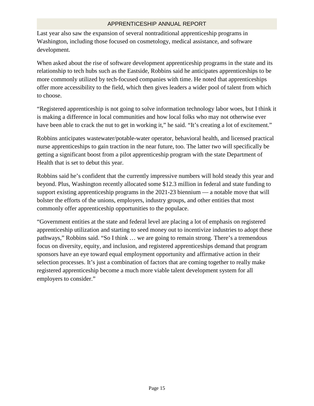Last year also saw the expansion of several nontraditional apprenticeship programs in Washington, including those focused on cosmetology, medical assistance, and software development.

When asked about the rise of software development apprenticeship programs in the state and its relationship to tech hubs such as the Eastside, Robbins said he anticipates apprenticeships to be more commonly utilized by tech-focused companies with time. He noted that apprenticeships offer more accessibility to the field, which then gives leaders a wider pool of talent from which to choose.

"Registered apprenticeship is not going to solve information technology labor woes, but I think it is making a difference in local communities and how local folks who may not otherwise ever have been able to crack the nut to get in working it," he said. "It's creating a lot of excitement."

Robbins anticipates wastewater/potable-water operator, behavioral health, and licensed practical nurse apprenticeships to gain traction in the near future, too. The latter two will specifically be getting a significant boost from a pilot apprenticeship program with the state Department of Health that is set to debut this year.

Robbins said he's confident that the currently impressive numbers will hold steady this year and beyond. Plus, Washington recently allocated some \$12.3 million in federal and state funding to support existing apprenticeship programs in the 2021-23 biennium — a notable move that will bolster the efforts of the unions, employers, industry groups, and other entities that most commonly offer apprenticeship opportunities to the populace.

"Government entities at the state and federal level are placing a lot of emphasis on registered apprenticeship utilization and starting to seed money out to incentivize industries to adopt these pathways," Robbins said. "So I think … we are going to remain strong. There's a tremendous focus on diversity, equity, and inclusion, and registered apprenticeships demand that program sponsors have an eye toward equal employment opportunity and affirmative action in their selection processes. It's just a combination of factors that are coming together to really make registered apprenticeship become a much more viable talent development system for all employers to consider."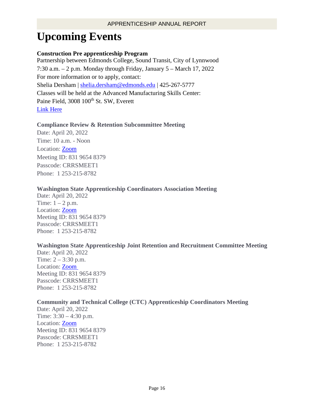# **Upcoming Events**

#### **Construction Pre apprenticeship Program**

Partnership between Edmonds College, Sound Transit, City of Lynnwood 7:30 a.m. – 2 p.m. Monday through Friday, January 5 – March 17, 2022 For more information or to apply, contact: Shelia Dersham | [shelia.dersham@edmonds.edu](mailto:shelia.dersham@edmonds.edu) | 425-267-5777 Classes will be held at the Advanced Manufacturing Skills Center: Paine Field, 3008 100<sup>th</sup> St. SW, Everett [Link Here](https://amsc.edmonds.edu/programs/pre-apprenticeship/construction-trades/default.html)

#### **Compliance Review & Retention Subcommittee Meeting**

Date: April 20, 2022 Time: 10 a.m. - Noon Location: **Zoom** Meeting ID: 831 9654 8379 Passcode: CRRSMEET1 Phone: 1 253-215-8782

#### **Washington State Apprenticeship Coordinators Association Meeting**

Date: April 20, 2022 Time:  $1 - 2$  p.m. Location: [Zoom](https://lni-wa-gov.zoom.us/j/83196548379?pwd=MkVQckRPRmZlb2N6eHRZTUc0YWRRUT09)  Meeting ID: 831 9654 8379 Passcode: CRRSMEET1 Phone: 1 253-215-8782

#### **Washington State Apprenticeship Joint Retention and Recruitment Committee Meeting**

Date: April 20, 2022 Time: 2 – 3:30 p.m. Location: [Zoom](https://lni-wa-gov.zoom.us/j/83196548379?pwd=MkVQckRPRmZlb2N6eHRZTUc0YWRRUT09)  Meeting ID: 831 9654 8379 Passcode: CRRSMEET1 Phone: 1 253-215-8782

#### **Community and Technical College (CTC) Apprenticeship Coordinators Meeting**

Date: April 20, 2022 Time: 3:30 – 4:30 p.m. Location: [Zoom](https://lni-wa-gov.zoom.us/j/83196548379?pwd=MkVQckRPRmZlb2N6eHRZTUc0YWRRUT09)  Meeting ID: 831 9654 8379 Passcode: CRRSMEET1 Phone: 1 253-215-8782